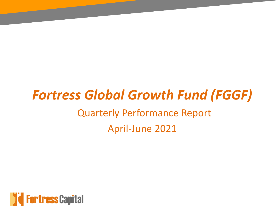# *Fortress Global Growth Fund (FGGF)* Quarterly Performance Report April-June 2021

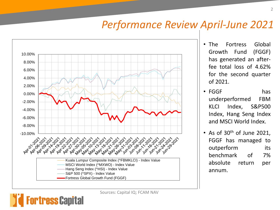#### *Performance Review April-June 2021*



rtress Capital

- The Fortress Global Growth Fund (FGGF) has generated an afterfee total loss of 4.62% for the second quarter of 2021.
- FGGF has underperformed FBM KLCI Index, S&P500 Index, Hang Seng Index and MSCI World Index.
- As of  $30<sup>th</sup>$  of June 2021, FGGF has managed to outperform its benchmark of 7% absolute return per annum.

Sources: Capital IQ; FCAM NAV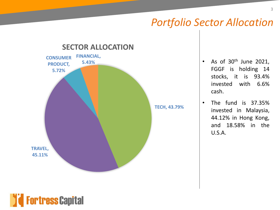## *Portfolio Sector Allocation*



- As of  $30<sup>th</sup>$  June 2021, FGGF is holding 14 stocks, it is 93.4% invested with 6.6% cash.
- The fund is 37.35% invested in Malaysia, 44.12% in Hong Kong, and 18.58% in the U.S.A.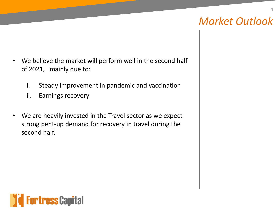# *Market Outlook*

4

- We believe the market will perform well in the second half of 2021, mainly due to:
	- i. Steady improvement in pandemic and vaccination
	- ii. Earnings recovery
- We are heavily invested in the Travel sector as we expect strong pent-up demand for recovery in travel during the second half.